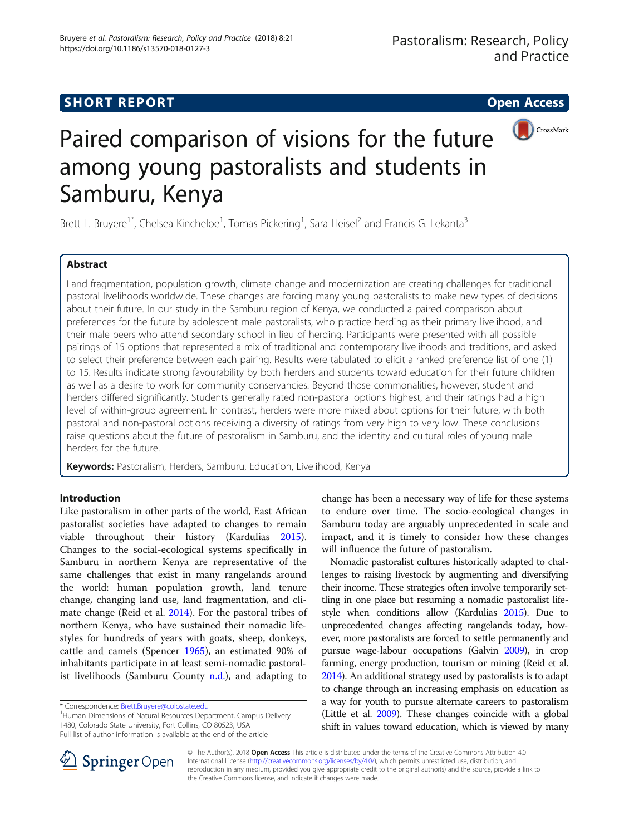# **SHORT REPORT SHORT CONSUMING THE OPEN ACCESS**





# Paired comparison of visions for the future among young pastoralists and students in Samburu, Kenya

Brett L. Bruyere<sup>1\*</sup>, Chelsea Kincheloe<sup>1</sup>, Tomas Pickering<sup>1</sup>, Sara Heisel<sup>2</sup> and Francis G. Lekanta<sup>3</sup>

# Abstract

Land fragmentation, population growth, climate change and modernization are creating challenges for traditional pastoral livelihoods worldwide. These changes are forcing many young pastoralists to make new types of decisions about their future. In our study in the Samburu region of Kenya, we conducted a paired comparison about preferences for the future by adolescent male pastoralists, who practice herding as their primary livelihood, and their male peers who attend secondary school in lieu of herding. Participants were presented with all possible pairings of 15 options that represented a mix of traditional and contemporary livelihoods and traditions, and asked to select their preference between each pairing. Results were tabulated to elicit a ranked preference list of one (1) to 15. Results indicate strong favourability by both herders and students toward education for their future children as well as a desire to work for community conservancies. Beyond those commonalities, however, student and herders differed significantly. Students generally rated non-pastoral options highest, and their ratings had a high level of within-group agreement. In contrast, herders were more mixed about options for their future, with both pastoral and non-pastoral options receiving a diversity of ratings from very high to very low. These conclusions raise questions about the future of pastoralism in Samburu, and the identity and cultural roles of young male herders for the future.

Keywords: Pastoralism, Herders, Samburu, Education, Livelihood, Kenya

# Introduction

Like pastoralism in other parts of the world, East African pastoralist societies have adapted to changes to remain viable throughout their history (Kardulias [2015](#page-6-0)). Changes to the social-ecological systems specifically in Samburu in northern Kenya are representative of the same challenges that exist in many rangelands around the world: human population growth, land tenure change, changing land use, land fragmentation, and climate change (Reid et al. [2014](#page-6-0)). For the pastoral tribes of northern Kenya, who have sustained their nomadic lifestyles for hundreds of years with goats, sheep, donkeys, cattle and camels (Spencer [1965](#page-6-0)), an estimated 90% of inhabitants participate in at least semi-nomadic pastoralist livelihoods (Samburu County  $n.d$ .), and adapting to

<sup>1</sup> Human Dimensions of Natural Resources Department, Campus Delivery 1480, Colorado State University, Fort Collins, CO 80523, USA Full list of author information is available at the end of the article

Nomadic pastoralist cultures historically adapted to challenges to raising livestock by augmenting and diversifying their income. These strategies often involve temporarily settling in one place but resuming a nomadic pastoralist lifestyle when conditions allow (Kardulias [2015](#page-6-0)). Due to unprecedented changes affecting rangelands today, however, more pastoralists are forced to settle permanently and pursue wage-labour occupations (Galvin [2009\)](#page-6-0), in crop farming, energy production, tourism or mining (Reid et al. [2014\)](#page-6-0). An additional strategy used by pastoralists is to adapt to change through an increasing emphasis on education as a way for youth to pursue alternate careers to pastoralism (Little et al. [2009\)](#page-6-0). These changes coincide with a global shift in values toward education, which is viewed by many



© The Author(s). 2018 Open Access This article is distributed under the terms of the Creative Commons Attribution 4.0 International License ([http://creativecommons.org/licenses/by/4.0/\)](http://creativecommons.org/licenses/by/4.0/), which permits unrestricted use, distribution, and reproduction in any medium, provided you give appropriate credit to the original author(s) and the source, provide a link to the Creative Commons license, and indicate if changes were made.

<sup>\*</sup> Correspondence: [Brett.Bruyere@colostate.edu](mailto:Brett.Bruyere@colostate.edu) <sup>1</sup>

change has been a necessary way of life for these systems to endure over time. The socio-ecological changes in Samburu today are arguably unprecedented in scale and impact, and it is timely to consider how these changes will influence the future of pastoralism.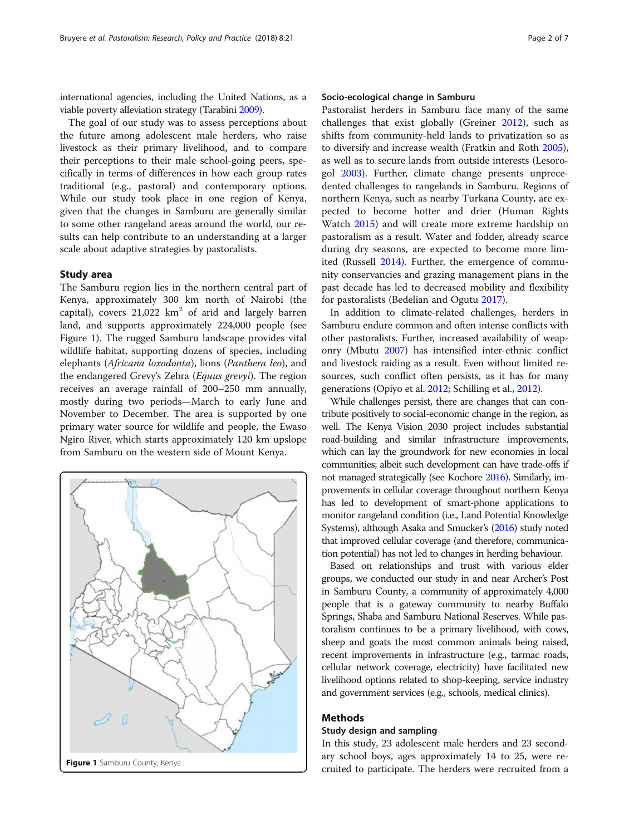international agencies, including the United Nations, as a viable poverty alleviation strategy (Tarabini [2009](#page-6-0)).

The goal of our study was to assess perceptions about the future among adolescent male herders, who raise livestock as their primary livelihood, and to compare their perceptions to their male school-going peers, specifically in terms of differences in how each group rates traditional (e.g., pastoral) and contemporary options. While our study took place in one region of Kenya, given that the changes in Samburu are generally similar to some other rangeland areas around the world, our results can help contribute to an understanding at a larger scale about adaptive strategies by pastoralists.

# Study area

The Samburu region lies in the northern central part of Kenya, approximately 300 km north of Nairobi (the capital), covers  $21,022$  km<sup>2</sup> of arid and largely barren land, and supports approximately 224,000 people (see Figure 1). The rugged Samburu landscape provides vital wildlife habitat, supporting dozens of species, including elephants (Africana loxodonta), lions (Panthera leo), and the endangered Grevy's Zebra (Equus grevyi). The region receives an average rainfall of 200–250 mm annually, mostly during two periods—March to early June and November to December. The area is supported by one primary water source for wildlife and people, the Ewaso Ngiro River, which starts approximately 120 km upslope from Samburu on the western side of Mount Kenya.



# Socio-ecological change in Samburu

Pastoralist herders in Samburu face many of the same challenges that exist globally (Greiner [2012\)](#page-6-0), such as shifts from community-held lands to privatization so as to diversify and increase wealth (Fratkin and Roth [2005](#page-6-0)), as well as to secure lands from outside interests (Lesorogol [2003\)](#page-6-0). Further, climate change presents unprecedented challenges to rangelands in Samburu. Regions of northern Kenya, such as nearby Turkana County, are expected to become hotter and drier (Human Rights Watch [2015](#page-6-0)) and will create more extreme hardship on pastoralism as a result. Water and fodder, already scarce during dry seasons, are expected to become more limited (Russell [2014\)](#page-6-0). Further, the emergence of community conservancies and grazing management plans in the past decade has led to decreased mobility and flexibility for pastoralists (Bedelian and Ogutu [2017\)](#page-6-0).

In addition to climate-related challenges, herders in Samburu endure common and often intense conflicts with other pastoralists. Further, increased availability of weaponry (Mbutu [2007](#page-6-0)) has intensified inter-ethnic conflict and livestock raiding as a result. Even without limited resources, such conflict often persists, as it has for many generations (Opiyo et al. [2012](#page-6-0); Schilling et al., [2012\)](#page-6-0).

While challenges persist, there are changes that can contribute positively to social-economic change in the region, as well. The Kenya Vision 2030 project includes substantial road-building and similar infrastructure improvements, which can lay the groundwork for new economies in local communities; albeit such development can have trade-offs if not managed strategically (see Kochore [2016](#page-6-0)). Similarly, improvements in cellular coverage throughout northern Kenya has led to development of smart-phone applications to monitor rangeland condition (i.e., Land Potential Knowledge Systems), although Asaka and Smucker's [\(2016\)](#page-6-0) study noted that improved cellular coverage (and therefore, communication potential) has not led to changes in herding behaviour.

Based on relationships and trust with various elder groups, we conducted our study in and near Archer's Post in Samburu County, a community of approximately 4,000 people that is a gateway community to nearby Buffalo Springs, Shaba and Samburu National Reserves. While pastoralism continues to be a primary livelihood, with cows, sheep and goats the most common animals being raised, recent improvements in infrastructure (e.g., tarmac roads, cellular network coverage, electricity) have facilitated new livelihood options related to shop-keeping, service industry and government services (e.g., schools, medical clinics).

# Methods

### Study design and sampling

In this study, 23 adolescent male herders and 23 secondary school boys, ages approximately 14 to 25, were re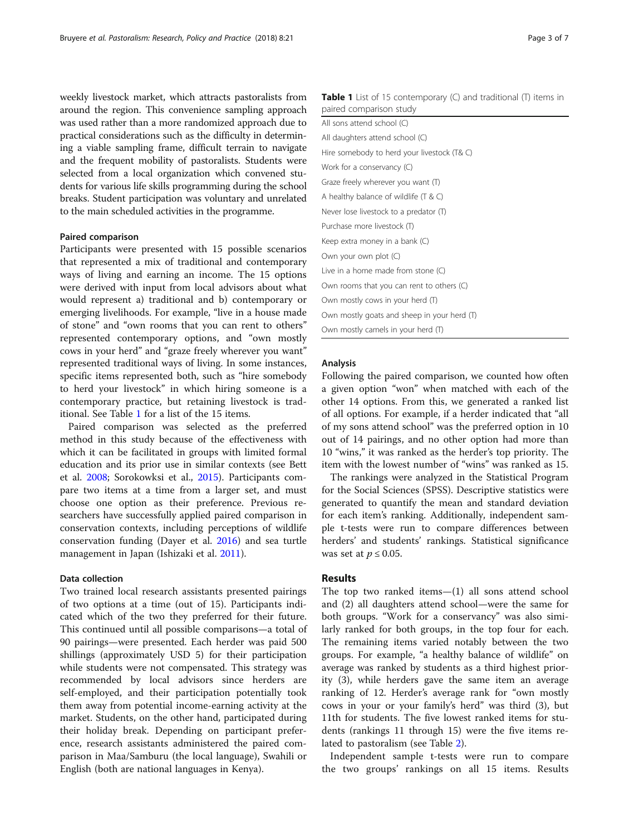weekly livestock market, which attracts pastoralists from around the region. This convenience sampling approach was used rather than a more randomized approach due to practical considerations such as the difficulty in determining a viable sampling frame, difficult terrain to navigate and the frequent mobility of pastoralists. Students were selected from a local organization which convened students for various life skills programming during the school breaks. Student participation was voluntary and unrelated to the main scheduled activities in the programme.

# Paired comparison

Participants were presented with 15 possible scenarios that represented a mix of traditional and contemporary ways of living and earning an income. The 15 options were derived with input from local advisors about what would represent a) traditional and b) contemporary or emerging livelihoods. For example, "live in a house made of stone" and "own rooms that you can rent to others" represented contemporary options, and "own mostly cows in your herd" and "graze freely wherever you want" represented traditional ways of living. In some instances, specific items represented both, such as "hire somebody to herd your livestock" in which hiring someone is a contemporary practice, but retaining livestock is traditional. See Table 1 for a list of the 15 items.

Paired comparison was selected as the preferred method in this study because of the effectiveness with which it can be facilitated in groups with limited formal education and its prior use in similar contexts (see Bett et al. [2008;](#page-6-0) Sorokowksi et al., [2015\)](#page-6-0). Participants compare two items at a time from a larger set, and must choose one option as their preference. Previous researchers have successfully applied paired comparison in conservation contexts, including perceptions of wildlife conservation funding (Dayer et al. [2016\)](#page-6-0) and sea turtle management in Japan (Ishizaki et al. [2011](#page-6-0)).

#### Data collection

Two trained local research assistants presented pairings of two options at a time (out of 15). Participants indicated which of the two they preferred for their future. This continued until all possible comparisons—a total of 90 pairings—were presented. Each herder was paid 500 shillings (approximately USD 5) for their participation while students were not compensated. This strategy was recommended by local advisors since herders are self-employed, and their participation potentially took them away from potential income-earning activity at the market. Students, on the other hand, participated during their holiday break. Depending on participant preference, research assistants administered the paired comparison in Maa/Samburu (the local language), Swahili or English (both are national languages in Kenya).

| All sons attend school (C)                  |
|---------------------------------------------|
| All daughters attend school (C)             |
| Hire somebody to herd your livestock (T& C) |
| Work for a conservancy $(C)$                |
| Graze freely wherever you want (T)          |
| A healthy balance of wildlife $(T & C)$     |
| Never lose livestock to a predator (T)      |
| Purchase more livestock (T)                 |
| Keep extra money in a bank $(C)$            |
| Own your own plot (C)                       |
| Live in a home made from stone (C)          |
| Own rooms that you can rent to others (C)   |
| Own mostly cows in your herd (T)            |
| Own mostly goats and sheep in your herd (T) |
| Own mostly camels in your herd (T)          |
|                                             |

# Analysis

Following the paired comparison, we counted how often a given option "won" when matched with each of the other 14 options. From this, we generated a ranked list of all options. For example, if a herder indicated that "all of my sons attend school" was the preferred option in 10 out of 14 pairings, and no other option had more than 10 "wins," it was ranked as the herder's top priority. The item with the lowest number of "wins" was ranked as 15.

The rankings were analyzed in the Statistical Program for the Social Sciences (SPSS). Descriptive statistics were generated to quantify the mean and standard deviation for each item's ranking. Additionally, independent sample t-tests were run to compare differences between herders' and students' rankings. Statistical significance was set at  $p \leq 0.05$ .

# Results

The top two ranked items—(1) all sons attend school and (2) all daughters attend school—were the same for both groups. "Work for a conservancy" was also similarly ranked for both groups, in the top four for each. The remaining items varied notably between the two groups. For example, "a healthy balance of wildlife" on average was ranked by students as a third highest priority (3), while herders gave the same item an average ranking of 12. Herder's average rank for "own mostly cows in your or your family's herd" was third (3), but 11th for students. The five lowest ranked items for students (rankings 11 through 15) were the five items related to pastoralism (see Table [2\)](#page-3-0).

Independent sample t-tests were run to compare the two groups' rankings on all 15 items. Results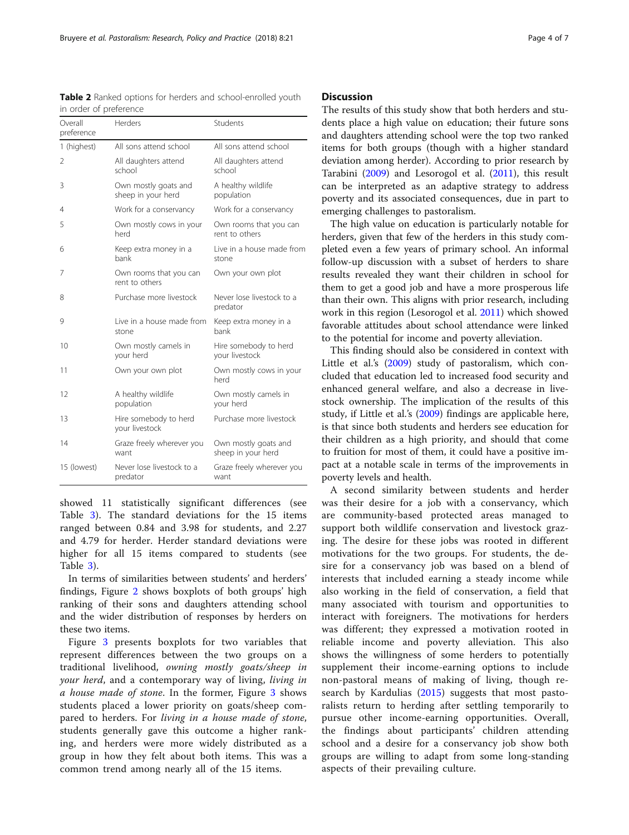<span id="page-3-0"></span>Table 2 Ranked options for herders and school-enrolled youth in order of preference

| Overall<br>preference | Herders                                    | Students                                   |
|-----------------------|--------------------------------------------|--------------------------------------------|
| 1 (highest)           | All sons attend school                     | All sons attend school                     |
| 2                     | All daughters attend<br>school             | All daughters attend<br>school             |
| 3                     | Own mostly goats and<br>sheep in your herd | A healthy wildlife<br>population           |
| 4                     | Work for a conservancy                     | Work for a conservancy                     |
| 5                     | Own mostly cows in your<br>herd            | Own rooms that you can<br>rent to others   |
| 6                     | Keep extra money in a<br>bank              | Live in a house made from<br>stone         |
| 7                     | Own rooms that you can<br>rent to others   | Own your own plot                          |
| 8                     | Purchase more livestock                    | Never lose livestock to a<br>predator      |
| 9                     | Live in a house made from<br>stone         | Keep extra money in a<br>bank              |
| 10                    | Own mostly camels in<br>your herd          | Hire somebody to herd<br>your livestock    |
| 11                    | Own your own plot                          | Own mostly cows in your<br>herd            |
| 12                    | A healthy wildlife<br>population           | Own mostly camels in<br>your herd          |
| 13                    | Hire somebody to herd<br>your livestock    | Purchase more livestock                    |
| 14                    | Graze freely wherever you<br>want          | Own mostly goats and<br>sheep in your herd |
| 15 (lowest)           | Never lose livestock to a<br>predator      | Graze freely wherever you<br>want          |

showed 11 statistically significant differences (see Table [3](#page-4-0)). The standard deviations for the 15 items ranged between 0.84 and 3.98 for students, and 2.27 and 4.79 for herder. Herder standard deviations were higher for all 15 items compared to students (see Table [3](#page-4-0)).

In terms of similarities between students' and herders' findings, Figure [2](#page-4-0) shows boxplots of both groups' high ranking of their sons and daughters attending school and the wider distribution of responses by herders on these two items.

Figure [3](#page-5-0) presents boxplots for two variables that represent differences between the two groups on a traditional livelihood, owning mostly goats/sheep in your herd, and a contemporary way of living, living in a house made of stone. In the former, Figure [3](#page-5-0) shows students placed a lower priority on goats/sheep compared to herders. For living in a house made of stone, students generally gave this outcome a higher ranking, and herders were more widely distributed as a group in how they felt about both items. This was a common trend among nearly all of the 15 items.

# **Discussion**

The results of this study show that both herders and students place a high value on education; their future sons and daughters attending school were the top two ranked items for both groups (though with a higher standard deviation among herder). According to prior research by Tarabini [\(2009\)](#page-6-0) and Lesorogol et al. ([2011](#page-6-0)), this result can be interpreted as an adaptive strategy to address poverty and its associated consequences, due in part to emerging challenges to pastoralism.

The high value on education is particularly notable for herders, given that few of the herders in this study completed even a few years of primary school. An informal follow-up discussion with a subset of herders to share results revealed they want their children in school for them to get a good job and have a more prosperous life than their own. This aligns with prior research, including work in this region (Lesorogol et al. [2011](#page-6-0)) which showed favorable attitudes about school attendance were linked to the potential for income and poverty alleviation.

This finding should also be considered in context with Little et al.'s [\(2009\)](#page-6-0) study of pastoralism, which concluded that education led to increased food security and enhanced general welfare, and also a decrease in livestock ownership. The implication of the results of this study, if Little et al.'s ([2009\)](#page-6-0) findings are applicable here, is that since both students and herders see education for their children as a high priority, and should that come to fruition for most of them, it could have a positive impact at a notable scale in terms of the improvements in poverty levels and health.

A second similarity between students and herder was their desire for a job with a conservancy, which are community-based protected areas managed to support both wildlife conservation and livestock grazing. The desire for these jobs was rooted in different motivations for the two groups. For students, the desire for a conservancy job was based on a blend of interests that included earning a steady income while also working in the field of conservation, a field that many associated with tourism and opportunities to interact with foreigners. The motivations for herders was different; they expressed a motivation rooted in reliable income and poverty alleviation. This also shows the willingness of some herders to potentially supplement their income-earning options to include non-pastoral means of making of living, though research by Kardulias [\(2015](#page-6-0)) suggests that most pastoralists return to herding after settling temporarily to pursue other income-earning opportunities. Overall, the findings about participants' children attending school and a desire for a conservancy job show both groups are willing to adapt from some long-standing aspects of their prevailing culture.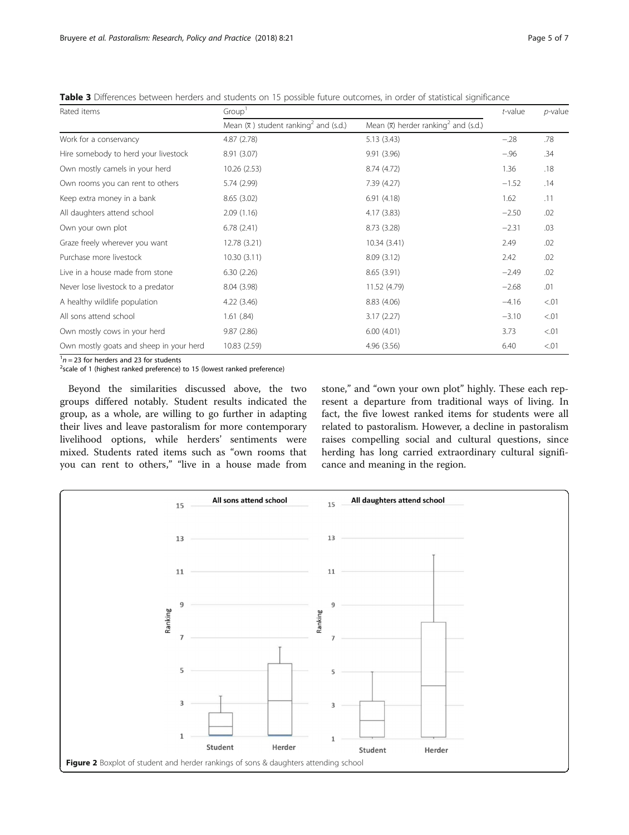| Rated items                               | Group'                                                        |                                                              | $t$ -value | $p$ -value |
|-------------------------------------------|---------------------------------------------------------------|--------------------------------------------------------------|------------|------------|
|                                           | Mean $(\overline{x})$ student ranking <sup>2</sup> and (s.d.) | Mean $(\overline{x})$ herder ranking <sup>2</sup> and (s.d.) |            |            |
| Work for a conservancy                    | 4.87(2.78)                                                    | 5.13(3.43)                                                   | $-.28$     | .78        |
| Hire somebody to herd your livestock      | 8.91 (3.07)                                                   | 9.91 (3.96)                                                  | $-.96$     | .34        |
| Own mostly camels in your herd            | 10.26 (2.53)                                                  | 8.74 (4.72)                                                  | 1.36       | .18        |
| Own rooms you can rent to others          | 5.74 (2.99)                                                   | 7.39 (4.27)                                                  | $-1.52$    | .14        |
| Keep extra money in a bank                | 8.65(3.02)                                                    | 6.91(4.18)                                                   | 1.62       | .11        |
| All daughters attend school               | 2.09(1.16)                                                    | 4.17(3.83)                                                   | $-2.50$    | .02        |
| Own your own plot                         | 6.78(2.41)                                                    | 8.73 (3.28)                                                  | $-2.31$    | .03        |
| Graze freely wherever you want            | 12.78 (3.21)                                                  | 10.34 (3.41)                                                 | 2.49       | .02        |
| Purchase more livestock                   | 10.30(3.11)                                                   | 8.09(3.12)                                                   | 2.42       | .02        |
| Live in a house made from stone           | 6.30(2.26)                                                    | 8.65(3.91)                                                   | $-2.49$    | .02        |
| Never lose livestock to a predator        | 8.04 (3.98)                                                   | 11.52 (4.79)                                                 | $-2.68$    | .01        |
| A healthy wildlife population             | 4.22(3.46)                                                    | 8.83 (4.06)                                                  | $-4.16$    | < 01       |
| All sons attend school                    | 1.61(.84)                                                     | 3.17(2.27)                                                   | $-3.10$    | < 01       |
| Own mostly cows in your herd              | 9.87(2.86)                                                    | 6.00(4.01)                                                   | 3.73       | < 0.01     |
| Own mostly goats and sheep in your herd   | 10.83 (2.59)                                                  | 4.96 (3.56)                                                  | 6.40       | < 0.01     |
| $1n - 23$ for harders and 23 for students |                                                               |                                                              |            |            |

<span id="page-4-0"></span>Table 3 Differences between herders and students on 15 possible future outcomes, in order of statistical significance

 $^1n$  = 23 for herders and 23 for students<br><sup>2</sup>scale of 1 (highest ranked preference) to 15 (lowest ranked preference)

Beyond the similarities discussed above, the two groups differed notably. Student results indicated the group, as a whole, are willing to go further in adapting their lives and leave pastoralism for more contemporary livelihood options, while herders' sentiments were mixed. Students rated items such as "own rooms that you can rent to others," "live in a house made from

stone," and "own your own plot" highly. These each represent a departure from traditional ways of living. In fact, the five lowest ranked items for students were all related to pastoralism. However, a decline in pastoralism raises compelling social and cultural questions, since herding has long carried extraordinary cultural significance and meaning in the region.

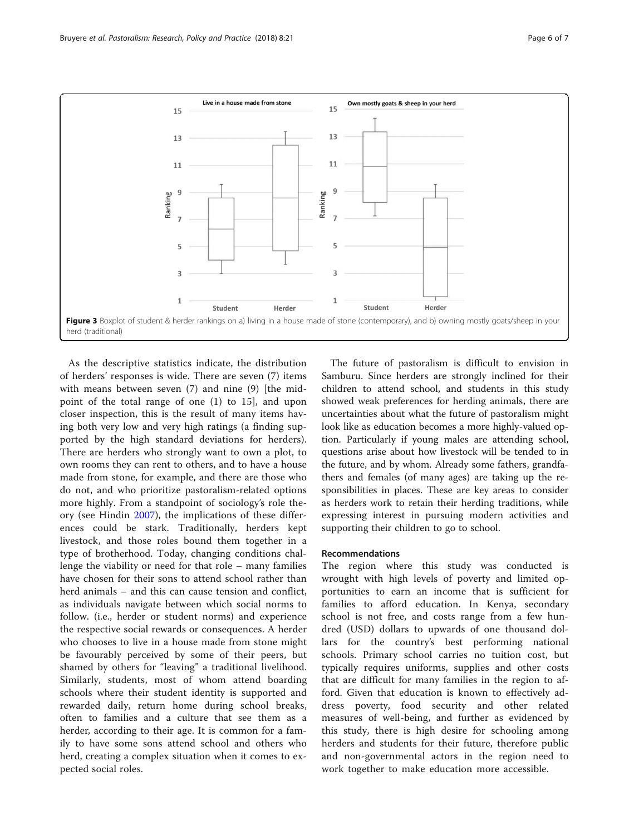<span id="page-5-0"></span>

As the descriptive statistics indicate, the distribution of herders' responses is wide. There are seven (7) items with means between seven (7) and nine (9) [the midpoint of the total range of one (1) to 15], and upon closer inspection, this is the result of many items having both very low and very high ratings (a finding supported by the high standard deviations for herders). There are herders who strongly want to own a plot, to own rooms they can rent to others, and to have a house made from stone, for example, and there are those who do not, and who prioritize pastoralism-related options more highly. From a standpoint of sociology's role theory (see Hindin [2007\)](#page-6-0), the implications of these differences could be stark. Traditionally, herders kept livestock, and those roles bound them together in a type of brotherhood. Today, changing conditions challenge the viability or need for that role – many families have chosen for their sons to attend school rather than herd animals – and this can cause tension and conflict, as individuals navigate between which social norms to follow. (i.e., herder or student norms) and experience the respective social rewards or consequences. A herder who chooses to live in a house made from stone might be favourably perceived by some of their peers, but shamed by others for "leaving" a traditional livelihood. Similarly, students, most of whom attend boarding schools where their student identity is supported and rewarded daily, return home during school breaks, often to families and a culture that see them as a herder, according to their age. It is common for a family to have some sons attend school and others who herd, creating a complex situation when it comes to expected social roles.

The future of pastoralism is difficult to envision in Samburu. Since herders are strongly inclined for their children to attend school, and students in this study showed weak preferences for herding animals, there are uncertainties about what the future of pastoralism might look like as education becomes a more highly-valued option. Particularly if young males are attending school, questions arise about how livestock will be tended to in the future, and by whom. Already some fathers, grandfathers and females (of many ages) are taking up the responsibilities in places. These are key areas to consider as herders work to retain their herding traditions, while expressing interest in pursuing modern activities and supporting their children to go to school.

# Recommendations

The region where this study was conducted is wrought with high levels of poverty and limited opportunities to earn an income that is sufficient for families to afford education. In Kenya, secondary school is not free, and costs range from a few hundred (USD) dollars to upwards of one thousand dollars for the country's best performing national schools. Primary school carries no tuition cost, but typically requires uniforms, supplies and other costs that are difficult for many families in the region to afford. Given that education is known to effectively address poverty, food security and other related measures of well-being, and further as evidenced by this study, there is high desire for schooling among herders and students for their future, therefore public and non-governmental actors in the region need to work together to make education more accessible.